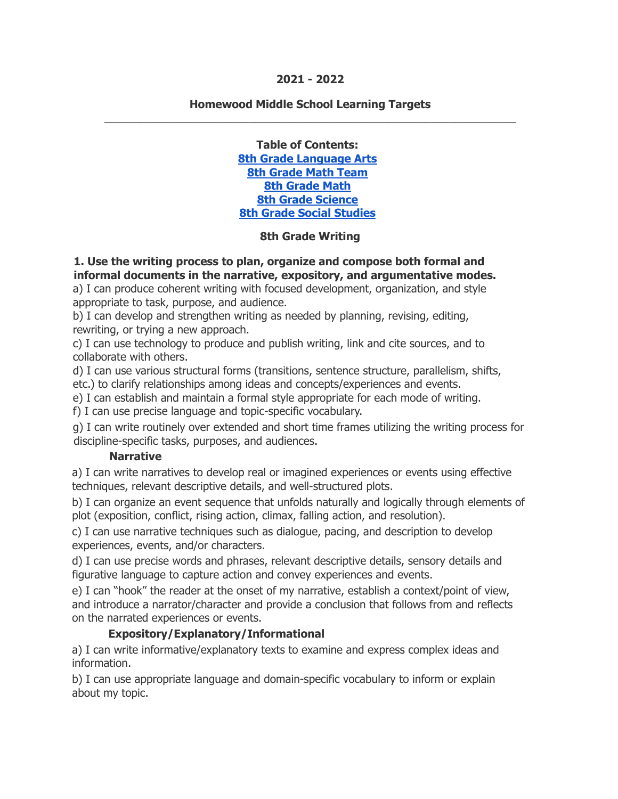### **2021 - 2022**

#### **Homewood Middle School Learning Targets** \_\_\_\_\_\_\_\_\_\_\_\_\_\_\_\_\_\_\_\_\_\_\_\_\_\_\_\_\_\_\_\_\_\_\_\_\_\_\_\_\_\_\_\_\_\_\_\_\_\_\_\_\_\_\_\_\_\_\_\_\_\_\_\_\_\_\_\_

**Table of Contents: 8th Grade [Language](#page-0-0) Arts 8th [Grade](#page-5-0) Math Team 8th [Grade](#page-11-0) Math 8th Grade [Science](#page-15-0) 8th Grade Social [Studies](#page-19-0)**

#### **8th Grade Writing**

<span id="page-0-0"></span>**1. Use the writing process to plan, organize and compose both formal and informal documents in the narrative, expository, and argumentative modes.**

a) I can produce coherent writing with focused development, organization, and style appropriate to task, purpose, and audience.

b) I can develop and strengthen writing as needed by planning, revising, editing, rewriting, or trying a new approach.

c) I can use technology to produce and publish writing, link and cite sources, and to collaborate with others.

d) I can use various structural forms (transitions, sentence structure, parallelism, shifts, etc.) to clarify relationships among ideas and concepts/experiences and events.

e) I can establish and maintain a formal style appropriate for each mode of writing.

f) I can use precise language and topic-specific vocabulary.

g) I can write routinely over extended and short time frames utilizing the writing process for discipline-specific tasks, purposes, and audiences.

#### **Narrative**

a) I can write narratives to develop real or imagined experiences or events using effective techniques, relevant descriptive details, and well-structured plots.

b) I can organize an event sequence that unfolds naturally and logically through elements of plot (exposition, conflict, rising action, climax, falling action, and resolution).

c) I can use narrative techniques such as dialogue, pacing, and description to develop experiences, events, and/or characters.

d) I can use precise words and phrases, relevant descriptive details, sensory details and figurative language to capture action and convey experiences and events.

e) I can "hook" the reader at the onset of my narrative, establish a context/point of view, and introduce a narrator/character and provide a conclusion that follows from and reflects on the narrated experiences or events.

### **Expository/Explanatory/Informational**

a) I can write informative/explanatory texts to examine and express complex ideas and information.

b) I can use appropriate language and domain-specific vocabulary to inform or explain about my topic.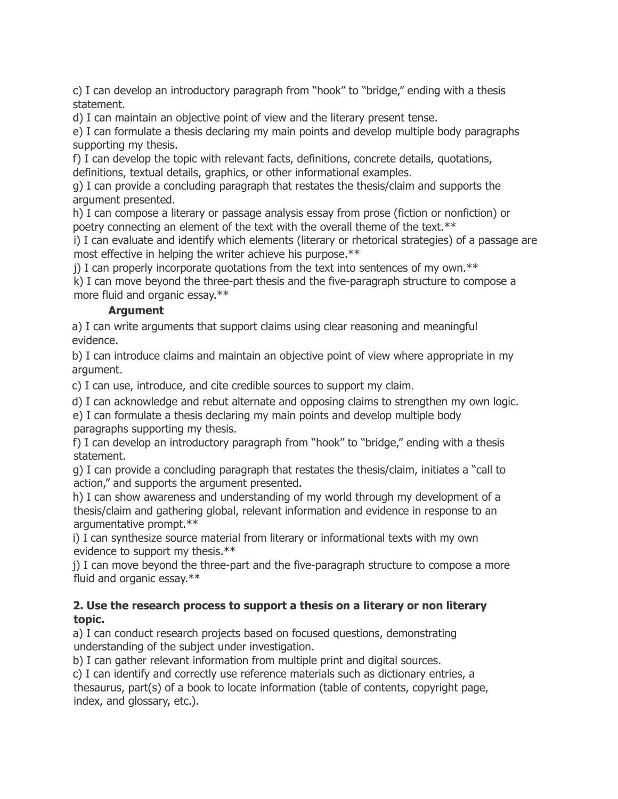c) I can develop an introductory paragraph from "hook" to "bridge," ending with a thesis statement.

d) I can maintain an objective point of view and the literary present tense.

e) I can formulate a thesis declaring my main points and develop multiple body paragraphs supporting my thesis.

f) I can develop the topic with relevant facts, definitions, concrete details, quotations, definitions, textual details, graphics, or other informational examples.

g) I can provide a concluding paragraph that restates the thesis/claim and supports the argument presented.

h) I can compose a literary or passage analysis essay from prose (fiction or nonfiction) or poetry connecting an element of the text with the overall theme of the text.\*\*

i) I can evaluate and identify which elements (literary or rhetorical strategies) of a passage are most effective in helping the writer achieve his purpose.\*\*

j) I can properly incorporate quotations from the text into sentences of my own. $**$ 

k) I can move beyond the three-part thesis and the five-paragraph structure to compose a more fluid and organic essay.\*\*

### **Argument**

a) I can write arguments that support claims using clear reasoning and meaningful evidence.

b) I can introduce claims and maintain an objective point of view where appropriate in my argument.

c) I can use, introduce, and cite credible sources to support my claim.

d) I can acknowledge and rebut alternate and opposing claims to strengthen my own logic.

e) I can formulate a thesis declaring my main points and develop multiple body paragraphs supporting my thesis.

f) I can develop an introductory paragraph from "hook" to "bridge," ending with a thesis statement.

g) I can provide a concluding paragraph that restates the thesis/claim, initiates a "call to action," and supports the argument presented.

h) I can show awareness and understanding of my world through my development of a thesis/claim and gathering global, relevant information and evidence in response to an argumentative prompt.\*\*

i) I can synthesize source material from literary or informational texts with my own evidence to support my thesis.\*\*

j) I can move beyond the three-part and the five-paragraph structure to compose a more fluid and organic essay.\*\*

### **2. Use the research process to support a thesis on a literary or non literary topic.**

a) I can conduct research projects based on focused questions, demonstrating understanding of the subject under investigation.

b) I can gather relevant information from multiple print and digital sources.

c) I can identify and correctly use reference materials such as dictionary entries, a thesaurus, part(s) of a book to locate information (table of contents, copyright page, index, and glossary, etc.).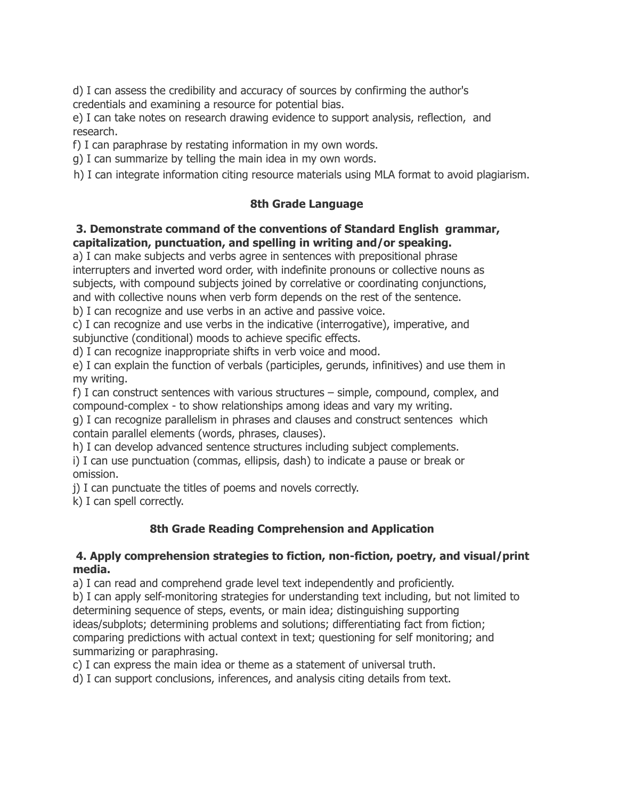d) I can assess the credibility and accuracy of sources by confirming the author's credentials and examining a resource for potential bias.

e) I can take notes on research drawing evidence to support analysis, reflection, and research.

f) I can paraphrase by restating information in my own words.

g) I can summarize by telling the main idea in my own words.

h) I can integrate information citing resource materials using MLA format to avoid plagiarism.

## **8th Grade Language**

### **3. Demonstrate command of the conventions of Standard English grammar, capitalization, punctuation, and spelling in writing and/or speaking.**

a) I can make subjects and verbs agree in sentences with prepositional phrase interrupters and inverted word order, with indefinite pronouns or collective nouns as subjects, with compound subjects joined by correlative or coordinating conjunctions, and with collective nouns when verb form depends on the rest of the sentence.

b) I can recognize and use verbs in an active and passive voice.

c) I can recognize and use verbs in the indicative (interrogative), imperative, and subjunctive (conditional) moods to achieve specific effects.

d) I can recognize inappropriate shifts in verb voice and mood.

e) I can explain the function of verbals (participles, gerunds, infinitives) and use them in my writing.

f) I can construct sentences with various structures – simple, compound, complex, and compound-complex - to show relationships among ideas and vary my writing.

g) I can recognize parallelism in phrases and clauses and construct sentences which contain parallel elements (words, phrases, clauses).

h) I can develop advanced sentence structures including subject complements.

i) I can use punctuation (commas, ellipsis, dash) to indicate a pause or break or omission.

j) I can punctuate the titles of poems and novels correctly.

k) I can spell correctly.

## **8th Grade Reading Comprehension and Application**

### **4. Apply comprehension strategies to fiction, non-fiction, poetry, and visual/print media.**

a) I can read and comprehend grade level text independently and proficiently.

b) I can apply self-monitoring strategies for understanding text including, but not limited to determining sequence of steps, events, or main idea; distinguishing supporting ideas/subplots; determining problems and solutions; differentiating fact from fiction; comparing predictions with actual context in text; questioning for self monitoring; and summarizing or paraphrasing.

c) I can express the main idea or theme as a statement of universal truth.

d) I can support conclusions, inferences, and analysis citing details from text.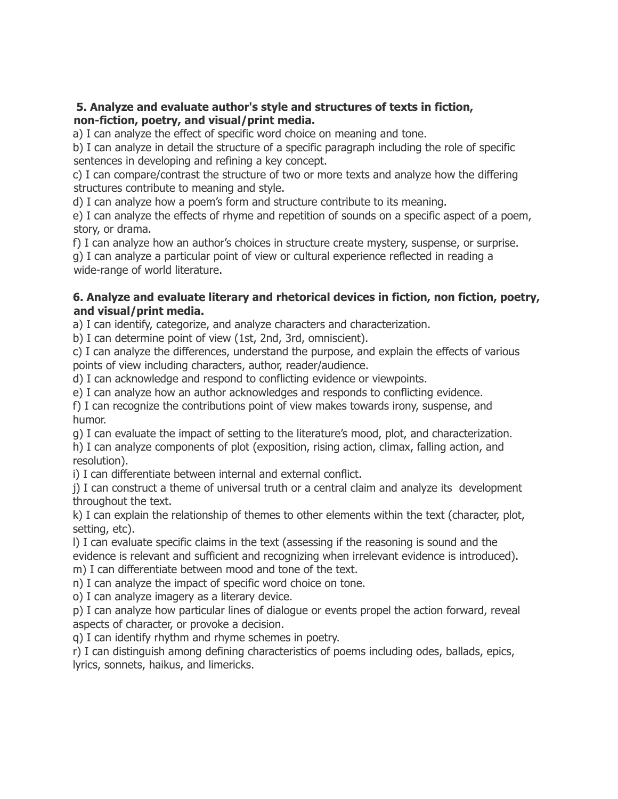#### **5. Analyze and evaluate author's style and structures of texts in fiction, non-fiction, poetry, and visual/print media.**

a) I can analyze the effect of specific word choice on meaning and tone.

b) I can analyze in detail the structure of a specific paragraph including the role of specific sentences in developing and refining a key concept.

c) I can compare/contrast the structure of two or more texts and analyze how the differing structures contribute to meaning and style.

d) I can analyze how a poem's form and structure contribute to its meaning.

e) I can analyze the effects of rhyme and repetition of sounds on a specific aspect of a poem, story, or drama.

f) I can analyze how an author's choices in structure create mystery, suspense, or surprise.

g) I can analyze a particular point of view or cultural experience reflected in reading a wide-range of world literature.

### **6. Analyze and evaluate literary and rhetorical devices in fiction, non fiction, poetry, and visual/print media.**

a) I can identify, categorize, and analyze characters and characterization.

b) I can determine point of view (1st, 2nd, 3rd, omniscient).

c) I can analyze the differences, understand the purpose, and explain the effects of various points of view including characters, author, reader/audience.

d) I can acknowledge and respond to conflicting evidence or viewpoints.

e) I can analyze how an author acknowledges and responds to conflicting evidence.

f) I can recognize the contributions point of view makes towards irony, suspense, and humor.

g) I can evaluate the impact of setting to the literature's mood, plot, and characterization.

h) I can analyze components of plot (exposition, rising action, climax, falling action, and resolution).

i) I can differentiate between internal and external conflict.

j) I can construct a theme of universal truth or a central claim and analyze its development throughout the text.

k) I can explain the relationship of themes to other elements within the text (character, plot, setting, etc).

l) I can evaluate specific claims in the text (assessing if the reasoning is sound and the evidence is relevant and sufficient and recognizing when irrelevant evidence is introduced). m) I can differentiate between mood and tone of the text.

n) I can analyze the impact of specific word choice on tone.

o) I can analyze imagery as a literary device.

p) I can analyze how particular lines of dialogue or events propel the action forward, reveal aspects of character, or provoke a decision.

q) I can identify rhythm and rhyme schemes in poetry.

r) I can distinguish among defining characteristics of poems including odes, ballads, epics, lyrics, sonnets, haikus, and limericks.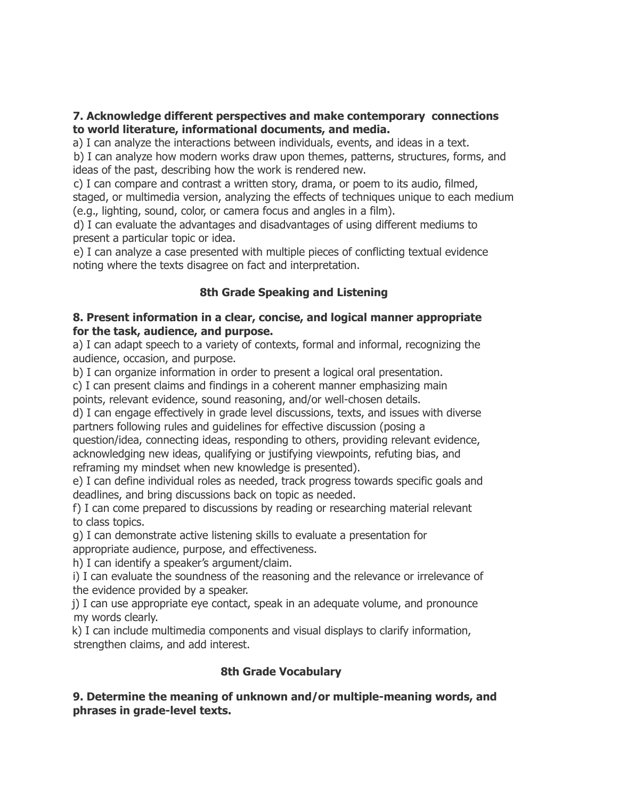#### **7. Acknowledge different perspectives and make contemporary connections to world literature, informational documents, and media.**

a) I can analyze the interactions between individuals, events, and ideas in a text.

b) I can analyze how modern works draw upon themes, patterns, structures, forms, and ideas of the past, describing how the work is rendered new.

c) I can compare and contrast a written story, drama, or poem to its audio, filmed, staged, or multimedia version, analyzing the effects of techniques unique to each medium (e.g., lighting, sound, color, or camera focus and angles in a film).

d) I can evaluate the advantages and disadvantages of using different mediums to present a particular topic or idea.

e) I can analyze a case presented with multiple pieces of conflicting textual evidence noting where the texts disagree on fact and interpretation.

## **8th Grade Speaking and Listening**

#### **8. Present information in a clear, concise, and logical manner appropriate for the task, audience, and purpose.**

a) I can adapt speech to a variety of contexts, formal and informal, recognizing the audience, occasion, and purpose.

b) I can organize information in order to present a logical oral presentation.

c) I can present claims and findings in a coherent manner emphasizing main

points, relevant evidence, sound reasoning, and/or well-chosen details.

d) I can engage effectively in grade level discussions, texts, and issues with diverse partners following rules and guidelines for effective discussion (posing a

question/idea, connecting ideas, responding to others, providing relevant evidence, acknowledging new ideas, qualifying or justifying viewpoints, refuting bias, and reframing my mindset when new knowledge is presented).

e) I can define individual roles as needed, track progress towards specific goals and deadlines, and bring discussions back on topic as needed.

f) I can come prepared to discussions by reading or researching material relevant to class topics.

g) I can demonstrate active listening skills to evaluate a presentation for appropriate audience, purpose, and effectiveness.

h) I can identify a speaker's argument/claim.

i) I can evaluate the soundness of the reasoning and the relevance or irrelevance of the evidence provided by a speaker.

j) I can use appropriate eye contact, speak in an adequate volume, and pronounce my words clearly.

k) I can include multimedia components and visual displays to clarify information, strengthen claims, and add interest.

## **8th Grade Vocabulary**

### **9. Determine the meaning of unknown and/or multiple-meaning words, and phrases in grade-level texts.**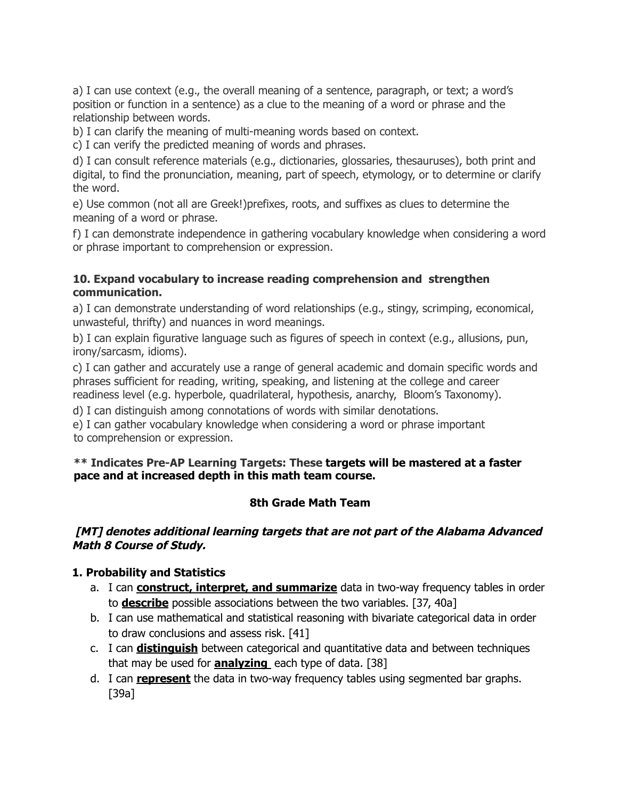a) I can use context (e.g., the overall meaning of a sentence, paragraph, or text; a word's position or function in a sentence) as a clue to the meaning of a word or phrase and the relationship between words.

b) I can clarify the meaning of multi-meaning words based on context.

c) I can verify the predicted meaning of words and phrases.

d) I can consult reference materials (e.g., dictionaries, glossaries, thesauruses), both print and digital, to find the pronunciation, meaning, part of speech, etymology, or to determine or clarify the word.

e) Use common (not all are Greek!)prefixes, roots, and suffixes as clues to determine the meaning of a word or phrase.

f) I can demonstrate independence in gathering vocabulary knowledge when considering a word or phrase important to comprehension or expression.

#### **10. Expand vocabulary to increase reading comprehension and strengthen communication.**

a) I can demonstrate understanding of word relationships (e.g., stingy, scrimping, economical, unwasteful, thrifty) and nuances in word meanings.

b) I can explain figurative language such as figures of speech in context (e.g., allusions, pun, irony/sarcasm, idioms).

c) I can gather and accurately use a range of general academic and domain specific words and phrases sufficient for reading, writing, speaking, and listening at the college and career readiness level (e.g. hyperbole, quadrilateral, hypothesis, anarchy, Bloom's Taxonomy).

d) I can distinguish among connotations of words with similar denotations.

e) I can gather vocabulary knowledge when considering a word or phrase important to comprehension or expression.

#### **\*\* Indicates Pre-AP Learning Targets: These targets will be mastered at a faster pace and at increased depth in this math team course.**

## **8th Grade Math Team**

#### <span id="page-5-0"></span>**[MT] denotes additional learning targets that are not part of the Alabama Advanced Math 8 Course of Study.**

### **1. Probability and Statistics**

- a. I can **construct, interpret, and summarize** data in two-way frequency tables in order to **describe** possible associations between the two variables. [37, 40a]
- b. I can use mathematical and statistical reasoning with bivariate categorical data in order to draw conclusions and assess risk. [41]
- c. I can **distinguish** between categorical and quantitative data and between techniques that may be used for **analyzing** each type of data. [38]
- d. I can **represent** the data in two-way frequency tables using segmented bar graphs. [39a]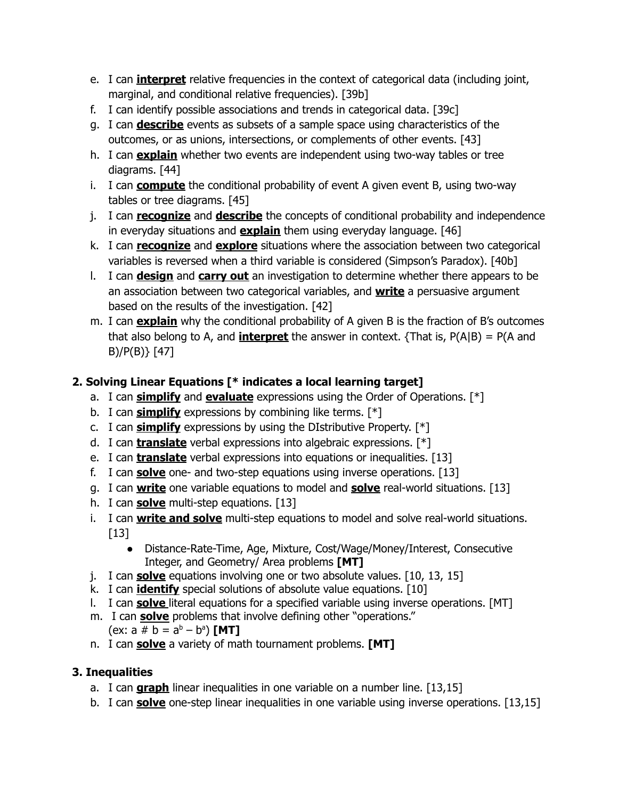- e. I can **interpret** relative frequencies in the context of categorical data (including joint, marginal, and conditional relative frequencies). [39b]
- f. I can identify possible associations and trends in categorical data. [39c]
- g. I can **describe** events as subsets of a sample space using characteristics of the outcomes, or as unions, intersections, or complements of other events. [43]
- h. I can **explain** whether two events are independent using two-way tables or tree diagrams. [44]
- i. I can **compute** the conditional probability of event A given event B, using two-way tables or tree diagrams. [45]
- j. I can **recognize** and **describe** the concepts of conditional probability and independence in everyday situations and **explain** them using everyday language. [46]
- k. I can **recognize** and **explore** situations where the association between two categorical variables is reversed when a third variable is considered (Simpson's Paradox). [40b]
- l. I can **design** and **carry out** an investigation to determine whether there appears to be an association between two categorical variables, and **write** a persuasive argument based on the results of the investigation. [42]
- m. I can **explain** why the conditional probability of A given B is the fraction of B's outcomes that also belong to A, and **interpret** the answer in context.  $\{ \text{That is, } P(A|B) = P(A \text{ and } \}$ B)/P(B)} [47]

# **2. Solving Linear Equations [\* indicates a local learning target]**

- a. I can **simplify** and **evaluate** expressions using the Order of Operations. [\*]
- b. I can **simplify** expressions by combining like terms. [\*]
- c. I can **simplify** expressions by using the DIstributive Property. [\*]
- d. I can **translate** verbal expressions into algebraic expressions. [\*]
- e. I can **translate** verbal expressions into equations or inequalities. [13]
- f. I can **solve** one- and two-step equations using inverse operations. [13]
- g. I can **write** one variable equations to model and **solve** real-world situations. [13]
- h. I can **solve** multi-step equations. [13]
- i. I can **write and solve** multi-step equations to model and solve real-world situations. [13]
	- Distance-Rate-Time, Age, Mixture, Cost/Wage/Money/Interest, Consecutive Integer, and Geometry/ Area problems **[MT]**
- j. I can **solve** equations involving one or two absolute values. [10, 13, 15]
- k. I can **identify** special solutions of absolute value equations. [10]
- l. I can **solve** literal equations for a specified variable using inverse operations. [MT]
- m. I can **solve** problems that involve defining other "operations."

(ex: 
$$
a \neq b = a^b - b^a
$$
) [MT]

n. I can **solve** a variety of math tournament problems. **[MT]**

# **3. Inequalities**

- a. I can **graph** linear inequalities in one variable on a number line. [13,15]
- b. I can **solve** one-step linear inequalities in one variable using inverse operations. [13,15]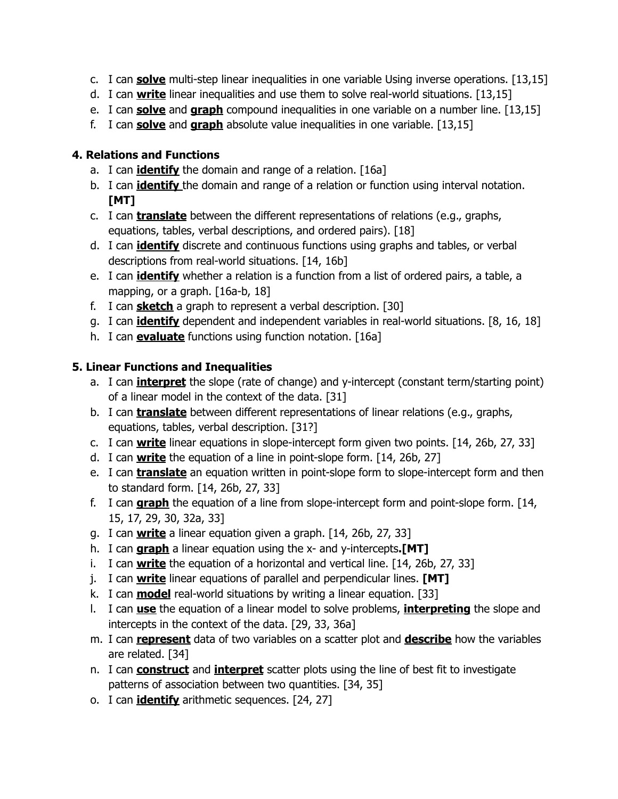- c. I can **solve** multi-step linear inequalities in one variable Using inverse operations. [13,15]
- d. I can **write** linear inequalities and use them to solve real-world situations. [13,15]
- e. I can **solve** and **graph** compound inequalities in one variable on a number line. [13,15]
- f. I can **solve** and **graph** absolute value inequalities in one variable. [13,15]

## **4. Relations and Functions**

- a. I can **identify** the domain and range of a relation. [16a]
- b. I can **identify** the domain and range of a relation or function using interval notation. **[MT]**
- c. I can **translate** between the different representations of relations (e.g., graphs, equations, tables, verbal descriptions, and ordered pairs). [18]
- d. I can **identify** discrete and continuous functions using graphs and tables, or verbal descriptions from real-world situations. [14, 16b]
- e. I can **identify** whether a relation is a function from a list of ordered pairs, a table, a mapping, or a graph. [16a-b, 18]
- f. I can **sketch** a graph to represent a verbal description. [30]
- g. I can **identify** dependent and independent variables in real-world situations. [8, 16, 18]
- h. I can **evaluate** functions using function notation. [16a]

# **5. Linear Functions and Inequalities**

- a. I can **interpret** the slope (rate of change) and y-intercept (constant term/starting point) of a linear model in the context of the data. [31]
- b. I can **translate** between different representations of linear relations (e.g., graphs, equations, tables, verbal description. [31?]
- c. I can **write** linear equations in slope-intercept form given two points. [14, 26b, 27, 33]
- d. I can **write** the equation of a line in point-slope form. [14, 26b, 27]
- e. I can **translate** an equation written in point-slope form to slope-intercept form and then to standard form. [14, 26b, 27, 33]
- f. I can **graph** the equation of a line from slope-intercept form and point-slope form. [14, 15, 17, 29, 30, 32a, 33]
- g. I can **write** a linear equation given a graph. [14, 26b, 27, 33]
- h. I can **graph** a linear equation using the x- and y-intercepts**.[MT]**
- i. I can **write** the equation of a horizontal and vertical line. [14, 26b, 27, 33]
- j. I can **write** linear equations of parallel and perpendicular lines. **[MT]**
- k. I can **model** real-world situations by writing a linear equation. [33]
- l. I can **use** the equation of a linear model to solve problems, **interpreting** the slope and intercepts in the context of the data. [29, 33, 36a]
- m. I can **represent** data of two variables on a scatter plot and **describe** how the variables are related. [34]
- n. I can **construct** and **interpret** scatter plots using the line of best fit to investigate patterns of association between two quantities. [34, 35]
- o. I can **identify** arithmetic sequences. [24, 27]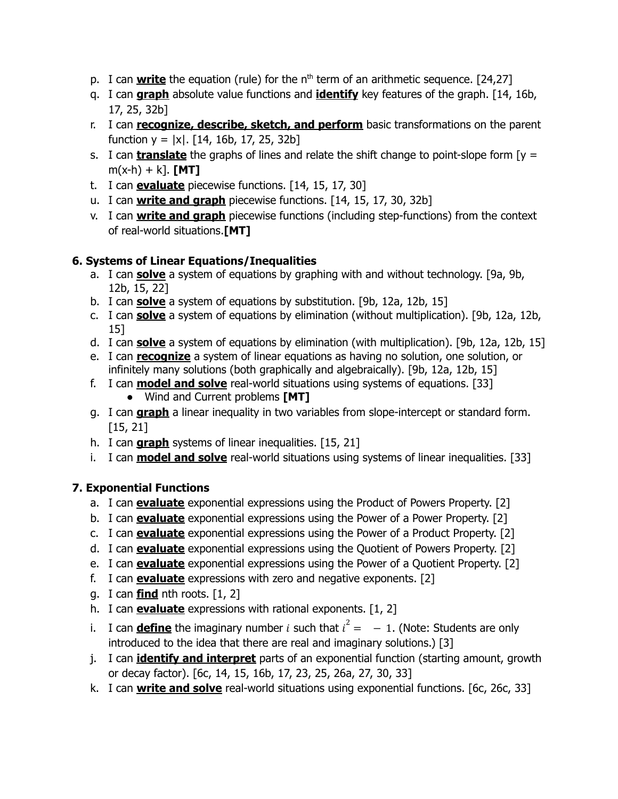- p. I can **write** the equation (rule) for the n<sup>th</sup> term of an arithmetic sequence. [24,27]
- q. I can **graph** absolute value functions and **identify** key features of the graph. [14, 16b, 17, 25, 32b]
- r. I can **recognize, describe, sketch, and perform** basic transformations on the parent function  $y = |x|$ . [14, 16b, 17, 25, 32b]
- s. I can **translate** the graphs of lines and relate the shift change to point-slope form [y =  $m(x-h) + k$ ]. **[MT]**
- t. I can **evaluate** piecewise functions. [14, 15, 17, 30]
- u. I can **write and graph** piecewise functions. [14, 15, 17, 30, 32b]
- v. I can **write and graph** piecewise functions (including step-functions) from the context of real-world situations.**[MT]**

## **6. Systems of Linear Equations/Inequalities**

- a. I can **solve** a system of equations by graphing with and without technology. [9a, 9b, 12b, 15, 22]
- b. I can **solve** a system of equations by substitution. [9b, 12a, 12b, 15]
- c. I can **solve** a system of equations by elimination (without multiplication). [9b, 12a, 12b, 15]
- d. I can **solve** a system of equations by elimination (with multiplication). [9b, 12a, 12b, 15]
- e. I can **recognize** a system of linear equations as having no solution, one solution, or infinitely many solutions (both graphically and algebraically). [9b, 12a, 12b, 15]
- f. I can **model and solve** real-world situations using systems of equations. [33] ● Wind and Current problems **[MT]**
- g. I can **graph** a linear inequality in two variables from slope-intercept or standard form. [15, 21]
- h. I can **graph** systems of linear inequalities. [15, 21]
- i. I can **model and solve** real-world situations using systems of linear inequalities. [33]

# **7. Exponential Functions**

- a. I can **evaluate** exponential expressions using the Product of Powers Property. [2]
- b. I can **evaluate** exponential expressions using the Power of a Power Property. [2]
- c. I can **evaluate** exponential expressions using the Power of a Product Property. [2]
- d. I can **evaluate** exponential expressions using the Quotient of Powers Property. [2]
- e. I can **evaluate** exponential expressions using the Power of a Quotient Property. [2]
- f. I can **evaluate** expressions with zero and negative exponents. [2]
- g. I can **find** nth roots. [1, 2]
- h. I can **evaluate** expressions with rational exponents. [1, 2]
- i. I can **define** the imaginary number *i* such that  $i^2 = -1$ . (Note: Students are only introduced to the idea that there are real and imaginary solutions.) [3]
- j. I can **identify and interpret** parts of an exponential function (starting amount, growth or decay factor). [6c, 14, 15, 16b, 17, 23, 25, 26a, 27, 30, 33]
- k. I can **write and solve** real-world situations using exponential functions. [6c, 26c, 33]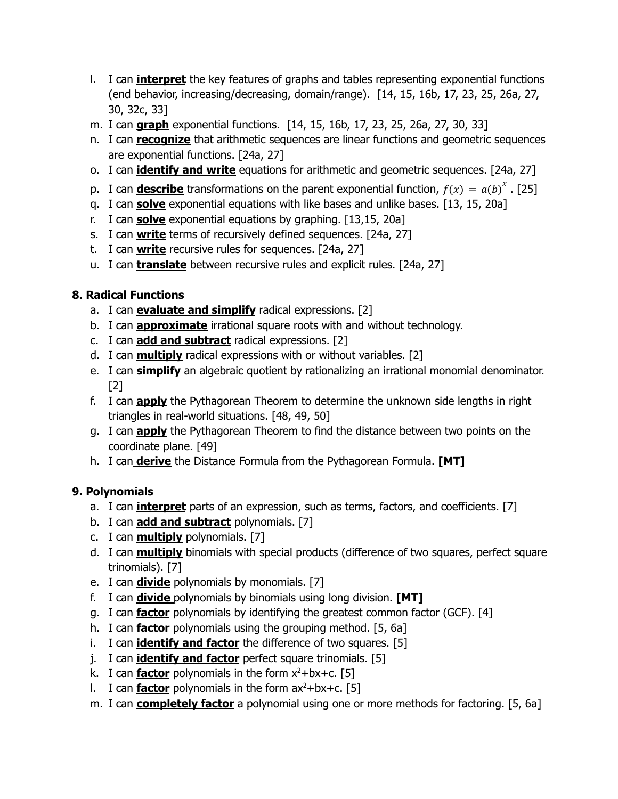- l. I can **interpret** the key features of graphs and tables representing exponential functions (end behavior, increasing/decreasing, domain/range). [14, 15, 16b, 17, 23, 25, 26a, 27, 30, 32c, 33]
- m. I can **graph** exponential functions. [14, 15, 16b, 17, 23, 25, 26a, 27, 30, 33]
- n. I can **recognize** that arithmetic sequences are linear functions and geometric sequences are exponential functions. [24a, 27]
- o. I can **identify and write** equations for arithmetic and geometric sequences. [24a, 27]
- p. I can **describe** transformations on the parent exponential function,  $f(x) = a(b)^{x}$ . [25]
- q. I can **solve** exponential equations with like bases and unlike bases. [13, 15, 20a]
- r. I can **solve** exponential equations by graphing. [13,15, 20a]
- s. I can **write** terms of recursively defined sequences. [24a, 27]
- t. I can **write** recursive rules for sequences. [24a, 27]
- u. I can **translate** between recursive rules and explicit rules. [24a, 27]

## **8. Radical Functions**

- a. I can **evaluate and simplify** radical expressions. [2]
- b. I can **approximate** irrational square roots with and without technology.
- c. I can **add and subtract** radical expressions. [2]
- d. I can **multiply** radical expressions with or without variables. [2]
- e. I can **simplify** an algebraic quotient by rationalizing an irrational monomial denominator. [2]
- f. I can **apply** the Pythagorean Theorem to determine the unknown side lengths in right triangles in real-world situations. [48, 49, 50]
- g. I can **apply** the Pythagorean Theorem to find the distance between two points on the coordinate plane. [49]
- h. I can **derive** the Distance Formula from the Pythagorean Formula. **[MT]**

# **9. Polynomials**

- a. I can **interpret** parts of an expression, such as terms, factors, and coefficients. [7]
- b. I can **add and subtract** polynomials. [7]
- c. I can **multiply** polynomials. [7]
- d. I can **multiply** binomials with special products (difference of two squares, perfect square trinomials). [7]
- e. I can **divide** polynomials by monomials. [7]
- f. I can **divide** polynomials by binomials using long division. **[MT]**
- g. I can **factor** polynomials by identifying the greatest common factor (GCF). [4]
- h. I can **factor** polynomials using the grouping method. [5, 6a]
- i. I can **identify and factor** the difference of two squares. [5]
- j. I can **identify and factor** perfect square trinomials. [5]
- k. I can **factor** polynomials in the form x <sup>2</sup>+bx+c. [5]
- l. I can **factor** polynomials in the form ax <sup>2</sup>+bx+c. [5]
- m. I can **completely factor** a polynomial using one or more methods for factoring. [5, 6a]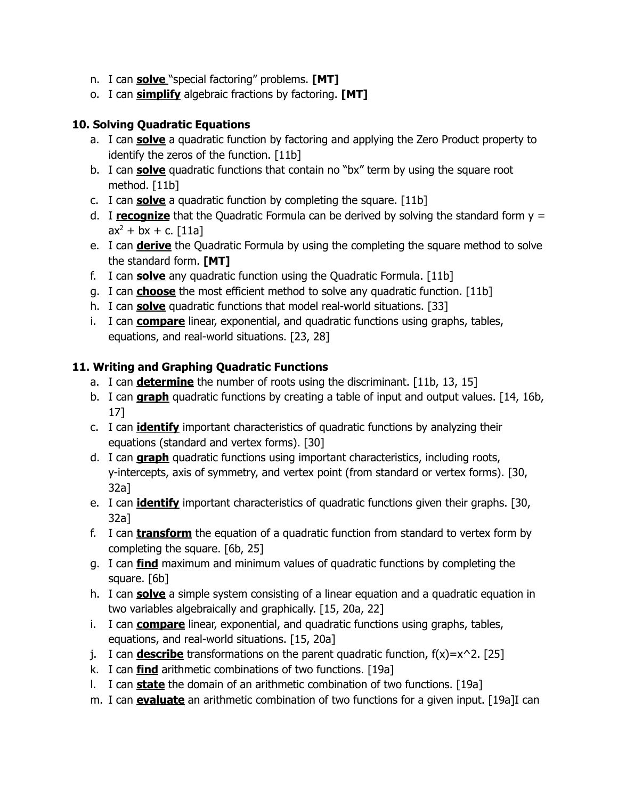- n. I can **solve** "special factoring" problems. **[MT]**
- o. I can **simplify** algebraic fractions by factoring. **[MT]**

## **10. Solving Quadratic Equations**

- a. I can **solve** a quadratic function by factoring and applying the Zero Product property to identify the zeros of the function. [11b]
- b. I can **solve** quadratic functions that contain no "bx" term by using the square root method. [11b]
- c. I can **solve** a quadratic function by completing the square. [11b]
- d. I **recognize** that the Quadratic Formula can be derived by solving the standard form y =  $ax^2 + bx + c.$  [11a]
- e. I can **derive** the Quadratic Formula by using the completing the square method to solve the standard form. **[MT]**
- f. I can **solve** any quadratic function using the Quadratic Formula. [11b]
- g. I can **choose** the most efficient method to solve any quadratic function. [11b]
- h. I can **solve** quadratic functions that model real-world situations. [33]
- i. I can **compare** linear, exponential, and quadratic functions using graphs, tables, equations, and real-world situations. [23, 28]

# **11. Writing and Graphing Quadratic Functions**

- a. I can **determine** the number of roots using the discriminant. [11b, 13, 15]
- b. I can **graph** quadratic functions by creating a table of input and output values. [14, 16b, 17]
- c. I can **identify** important characteristics of quadratic functions by analyzing their equations (standard and vertex forms). [30]
- d. I can **graph** quadratic functions using important characteristics, including roots, y-intercepts, axis of symmetry, and vertex point (from standard or vertex forms). [30, 32a]
- e. I can **identify** important characteristics of quadratic functions given their graphs. [30, 32a]
- f. I can **transform** the equation of a quadratic function from standard to vertex form by completing the square. [6b, 25]
- g. I can **find** maximum and minimum values of quadratic functions by completing the square. [6b]
- h. I can **solve** a simple system consisting of a linear equation and a quadratic equation in two variables algebraically and graphically. [15, 20a, 22]
- i. I can **compare** linear, exponential, and quadratic functions using graphs, tables, equations, and real-world situations. [15, 20a]
- j. I can **describe** transformations on the parent quadratic function,  $f(x)=x^2$ . [25]
- k. I can **find** arithmetic combinations of two functions. [19a]
- l. I can **state** the domain of an arithmetic combination of two functions. [19a]
- m. I can **evaluate** an arithmetic combination of two functions for a given input. [19a]I can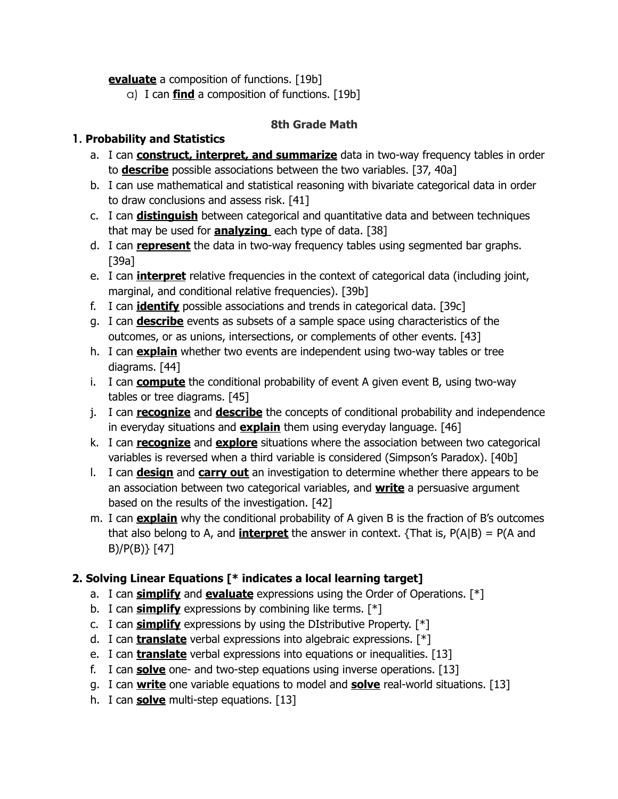**evaluate** a composition of functions. [19b]

a) I can **find** a composition of functions. [19b]

## **8th Grade Math**

## <span id="page-11-0"></span>**1. Probability and Statistics**

- a. I can **construct, interpret, and summarize** data in two-way frequency tables in order to **describe** possible associations between the two variables. [37, 40a]
- b. I can use mathematical and statistical reasoning with bivariate categorical data in order to draw conclusions and assess risk. [41]
- c. I can **distinguish** between categorical and quantitative data and between techniques that may be used for **analyzing** each type of data. [38]
- d. I can **represent** the data in two-way frequency tables using segmented bar graphs. [39a]
- e. I can **interpret** relative frequencies in the context of categorical data (including joint, marginal, and conditional relative frequencies). [39b]
- f. I can **identify** possible associations and trends in categorical data. [39c]
- g. I can **describe** events as subsets of a sample space using characteristics of the outcomes, or as unions, intersections, or complements of other events. [43]
- h. I can **explain** whether two events are independent using two-way tables or tree diagrams. [44]
- i. I can **compute** the conditional probability of event A given event B, using two-way tables or tree diagrams. [45]
- j. I can **recognize** and **describe** the concepts of conditional probability and independence in everyday situations and **explain** them using everyday language. [46]
- k. I can **recognize** and **explore** situations where the association between two categorical variables is reversed when a third variable is considered (Simpson's Paradox). [40b]
- l. I can **design** and **carry out** an investigation to determine whether there appears to be an association between two categorical variables, and **write** a persuasive argument based on the results of the investigation. [42]
- m. I can **explain** why the conditional probability of A given B is the fraction of B's outcomes that also belong to A, and **interpret** the answer in context. {That is,  $P(A|B) = P(A \text{ and } B)$ B)/P(B)} [47]

# **2. Solving Linear Equations [\* indicates a local learning target]**

- a. I can **simplify** and **evaluate** expressions using the Order of Operations. [\*]
- b. I can **simplify** expressions by combining like terms. [\*]
- c. I can **simplify** expressions by using the DIstributive Property. [\*]
- d. I can **translate** verbal expressions into algebraic expressions. [\*]
- e. I can **translate** verbal expressions into equations or inequalities. [13]
- f. I can **solve** one- and two-step equations using inverse operations. [13]
- g. I can **write** one variable equations to model and **solve** real-world situations. [13]
- h. I can **solve** multi-step equations. [13]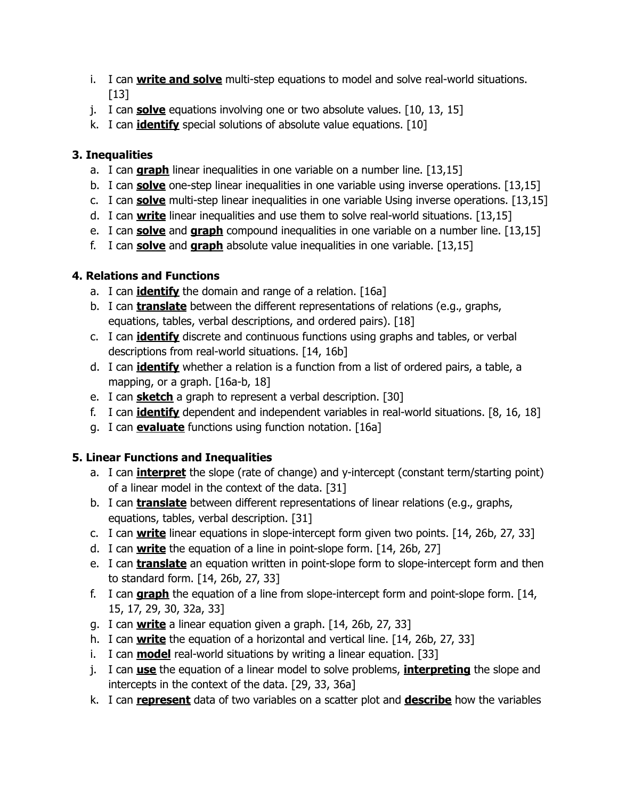- i. I can **write and solve** multi-step equations to model and solve real-world situations.  $[13]$
- j. I can **solve** equations involving one or two absolute values. [10, 13, 15]
- k. I can **identify** special solutions of absolute value equations. [10]

## **3. Inequalities**

- a. I can **graph** linear inequalities in one variable on a number line. [13,15]
- b. I can **solve** one-step linear inequalities in one variable using inverse operations. [13,15]
- c. I can **solve** multi-step linear inequalities in one variable Using inverse operations. [13,15]
- d. I can **write** linear inequalities and use them to solve real-world situations. [13,15]
- e. I can **solve** and **graph** compound inequalities in one variable on a number line. [13,15]
- f. I can **solve** and **graph** absolute value inequalities in one variable. [13,15]

## **4. Relations and Functions**

- a. I can **identify** the domain and range of a relation. [16a]
- b. I can **translate** between the different representations of relations (e.g., graphs, equations, tables, verbal descriptions, and ordered pairs). [18]
- c. I can **identify** discrete and continuous functions using graphs and tables, or verbal descriptions from real-world situations. [14, 16b]
- d. I can **identify** whether a relation is a function from a list of ordered pairs, a table, a mapping, or a graph. [16a-b, 18]
- e. I can **sketch** a graph to represent a verbal description. [30]
- f. I can **identify** dependent and independent variables in real-world situations. [8, 16, 18]
- g. I can **evaluate** functions using function notation. [16a]

# **5. Linear Functions and Inequalities**

- a. I can **interpret** the slope (rate of change) and y-intercept (constant term/starting point) of a linear model in the context of the data. [31]
- b. I can **translate** between different representations of linear relations (e.g., graphs, equations, tables, verbal description. [31]
- c. I can **write** linear equations in slope-intercept form given two points. [14, 26b, 27, 33]
- d. I can **write** the equation of a line in point-slope form. [14, 26b, 27]
- e. I can **translate** an equation written in point-slope form to slope-intercept form and then to standard form. [14, 26b, 27, 33]
- f. I can **graph** the equation of a line from slope-intercept form and point-slope form. [14, 15, 17, 29, 30, 32a, 33]
- g. I can **write** a linear equation given a graph. [14, 26b, 27, 33]
- h. I can **write** the equation of a horizontal and vertical line. [14, 26b, 27, 33]
- i. I can **model** real-world situations by writing a linear equation. [33]
- j. I can **use** the equation of a linear model to solve problems, **interpreting** the slope and intercepts in the context of the data. [29, 33, 36a]
- k. I can **represent** data of two variables on a scatter plot and **describe** how the variables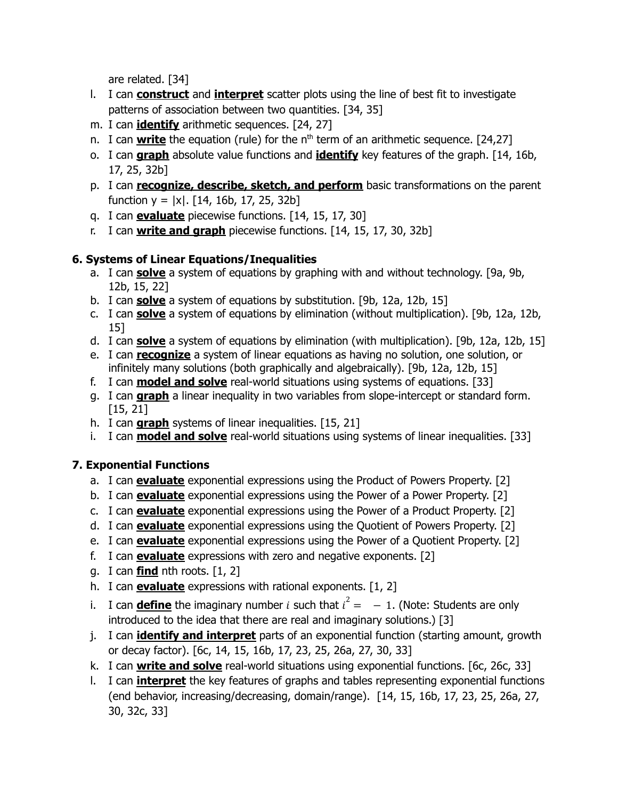are related. [34]

- l. I can **construct** and **interpret** scatter plots using the line of best fit to investigate patterns of association between two quantities. [34, 35]
- m. I can **identify** arithmetic sequences. [24, 27]
- n. I can **write** the equation (rule) for the n<sup>th</sup> term of an arithmetic sequence. [24,27]
- o. I can **graph** absolute value functions and **identify** key features of the graph. [14, 16b, 17, 25, 32b]
- p. I can **recognize, describe, sketch, and perform** basic transformations on the parent function  $y = |x|$ . [14, 16b, 17, 25, 32b]
- q. I can **evaluate** piecewise functions. [14, 15, 17, 30]
- r. I can **write and graph** piecewise functions. [14, 15, 17, 30, 32b]

# **6. Systems of Linear Equations/Inequalities**

- a. I can **solve** a system of equations by graphing with and without technology. [9a, 9b, 12b, 15, 22]
- b. I can **solve** a system of equations by substitution. [9b, 12a, 12b, 15]
- c. I can **solve** a system of equations by elimination (without multiplication). [9b, 12a, 12b, 15]
- d. I can **solve** a system of equations by elimination (with multiplication). [9b, 12a, 12b, 15]
- e. I can **recognize** a system of linear equations as having no solution, one solution, or infinitely many solutions (both graphically and algebraically). [9b, 12a, 12b, 15]
- f. I can **model and solve** real-world situations using systems of equations. [33]
- g. I can **graph** a linear inequality in two variables from slope-intercept or standard form. [15, 21]
- h. I can **graph** systems of linear inequalities. [15, 21]
- i. I can **model and solve** real-world situations using systems of linear inequalities. [33]

# **7. Exponential Functions**

- a. I can **evaluate** exponential expressions using the Product of Powers Property. [2]
- b. I can **evaluate** exponential expressions using the Power of a Power Property. [2]
- c. I can **evaluate** exponential expressions using the Power of a Product Property. [2]
- d. I can **evaluate** exponential expressions using the Quotient of Powers Property. [2]
- e. I can **evaluate** exponential expressions using the Power of a Quotient Property. [2]
- f. I can **evaluate** expressions with zero and negative exponents. [2]
- g. I can **find** nth roots. [1, 2]
- h. I can **evaluate** expressions with rational exponents. [1, 2]
- i. I can **define** the imaginary number *i* such that  $i^2 = -1$ . (Note: Students are only introduced to the idea that there are real and imaginary solutions.) [3]
- j. I can **identify and interpret** parts of an exponential function (starting amount, growth or decay factor). [6c, 14, 15, 16b, 17, 23, 25, 26a, 27, 30, 33]
- k. I can **write and solve** real-world situations using exponential functions. [6c, 26c, 33]
- l. I can **interpret** the key features of graphs and tables representing exponential functions (end behavior, increasing/decreasing, domain/range). [14, 15, 16b, 17, 23, 25, 26a, 27, 30, 32c, 33]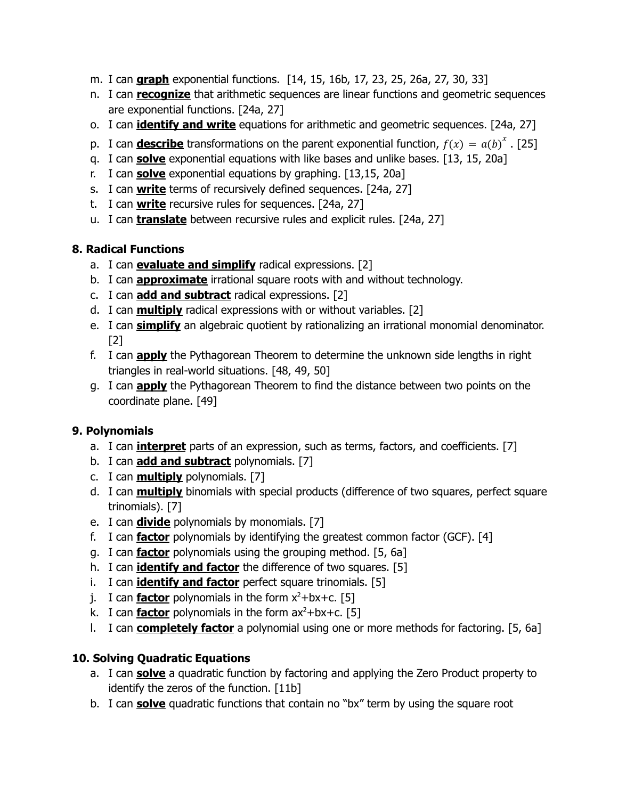- m. I can **graph** exponential functions. [14, 15, 16b, 17, 23, 25, 26a, 27, 30, 33]
- n. I can **recognize** that arithmetic sequences are linear functions and geometric sequences are exponential functions. [24a, 27]
- o. I can **identify and write** equations for arithmetic and geometric sequences. [24a, 27]
- p. I can **describe** transformations on the parent exponential function,  $f(x) = a(b)^{x}$ . [25]
- q. I can **solve** exponential equations with like bases and unlike bases. [13, 15, 20a]
- r. I can **solve** exponential equations by graphing. [13,15, 20a]
- s. I can **write** terms of recursively defined sequences. [24a, 27]
- t. I can **write** recursive rules for sequences. [24a, 27]
- u. I can **translate** between recursive rules and explicit rules. [24a, 27]

## **8. Radical Functions**

- a. I can **evaluate and simplify** radical expressions. [2]
- b. I can **approximate** irrational square roots with and without technology.
- c. I can **add and subtract** radical expressions. [2]
- d. I can **multiply** radical expressions with or without variables. [2]
- e. I can **simplify** an algebraic quotient by rationalizing an irrational monomial denominator. [2]
- f. I can **apply** the Pythagorean Theorem to determine the unknown side lengths in right triangles in real-world situations. [48, 49, 50]
- g. I can **apply** the Pythagorean Theorem to find the distance between two points on the coordinate plane. [49]

# **9. Polynomials**

- a. I can **interpret** parts of an expression, such as terms, factors, and coefficients. [7]
- b. I can **add and subtract** polynomials. [7]
- c. I can **multiply** polynomials. [7]
- d. I can **multiply** binomials with special products (difference of two squares, perfect square trinomials). [7]
- e. I can **divide** polynomials by monomials. [7]
- f. I can **factor** polynomials by identifying the greatest common factor (GCF). [4]
- g. I can **factor** polynomials using the grouping method. [5, 6a]
- h. I can **identify and factor** the difference of two squares. [5]
- i. I can **identify and factor** perfect square trinomials. [5]
- j. I can **factor** polynomials in the form x <sup>2</sup>+bx+c. [5]
- k. I can **factor** polynomials in the form ax <sup>2</sup>+bx+c. [5]
- l. I can **completely factor** a polynomial using one or more methods for factoring. [5, 6a]

# **10. Solving Quadratic Equations**

- a. I can **solve** a quadratic function by factoring and applying the Zero Product property to identify the zeros of the function. [11b]
- b. I can **solve** quadratic functions that contain no "bx" term by using the square root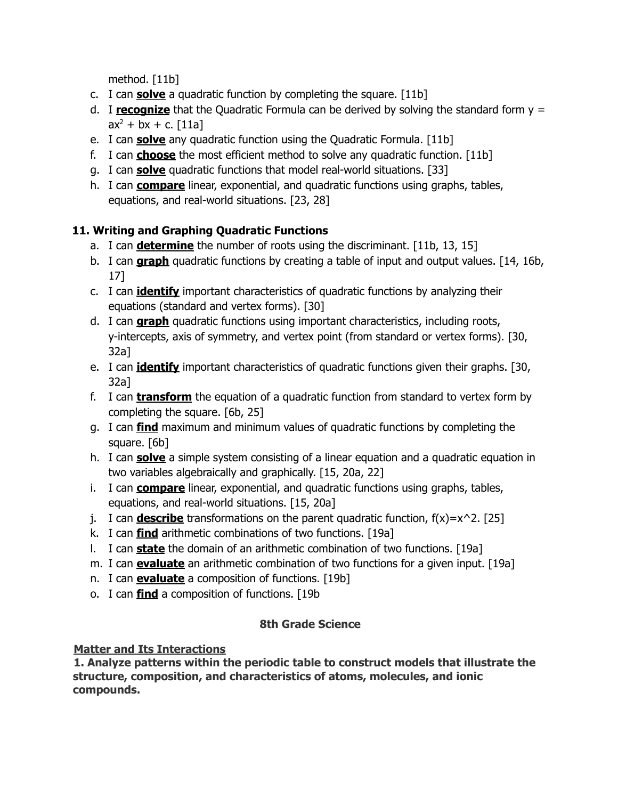method. [11b]

- c. I can **solve** a quadratic function by completing the square. [11b]
- d. I **recognize** that the Quadratic Formula can be derived by solving the standard form y =  $ax^2 + bx + c.$  [11a]
- e. I can **solve** any quadratic function using the Quadratic Formula. [11b]
- f. I can **choose** the most efficient method to solve any quadratic function. [11b]
- g. I can **solve** quadratic functions that model real-world situations. [33]
- h. I can **compare** linear, exponential, and quadratic functions using graphs, tables, equations, and real-world situations. [23, 28]

# **11. Writing and Graphing Quadratic Functions**

- a. I can **determine** the number of roots using the discriminant. [11b, 13, 15]
- b. I can **graph** quadratic functions by creating a table of input and output values. [14, 16b, 17]
- c. I can **identify** important characteristics of quadratic functions by analyzing their equations (standard and vertex forms). [30]
- d. I can **graph** quadratic functions using important characteristics, including roots, y-intercepts, axis of symmetry, and vertex point (from standard or vertex forms). [30, 32a]
- e. I can **identify** important characteristics of quadratic functions given their graphs. [30, 32a]
- f. I can **transform** the equation of a quadratic function from standard to vertex form by completing the square. [6b, 25]
- g. I can **find** maximum and minimum values of quadratic functions by completing the square. [6b]
- h. I can **solve** a simple system consisting of a linear equation and a quadratic equation in two variables algebraically and graphically. [15, 20a, 22]
- i. I can **compare** linear, exponential, and quadratic functions using graphs, tables, equations, and real-world situations. [15, 20a]
- j. I can **describe** transformations on the parent quadratic function,  $f(x)=x^2$ . [25]
- k. I can **find** arithmetic combinations of two functions. [19a]
- l. I can **state** the domain of an arithmetic combination of two functions. [19a]
- m. I can **evaluate** an arithmetic combination of two functions for a given input. [19a]
- n. I can **evaluate** a composition of functions. [19b]
- o. I can **find** a composition of functions. [19b

# **8th Grade Science**

## <span id="page-15-0"></span>**Matter and Its Interactions**

**1. Analyze patterns within the periodic table to construct models that illustrate the structure, composition, and characteristics of atoms, molecules, and ionic compounds.**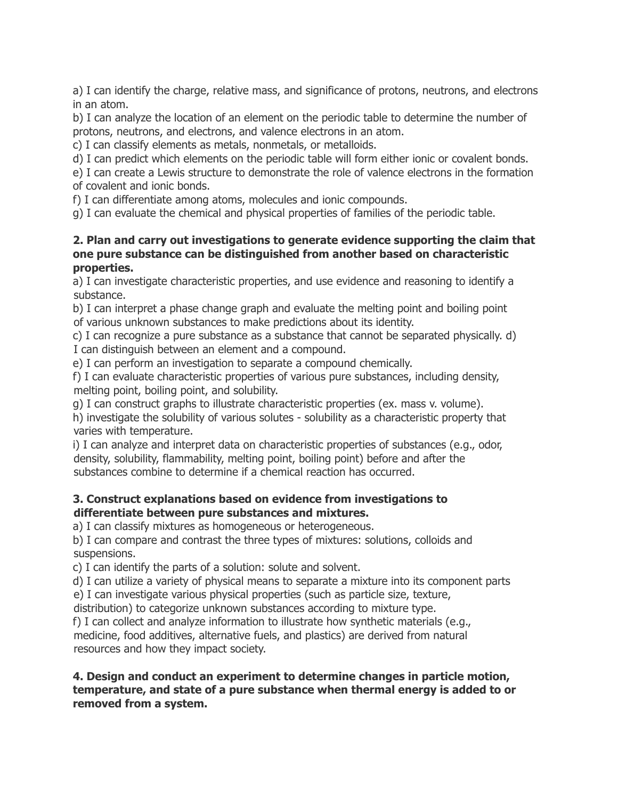a) I can identify the charge, relative mass, and significance of protons, neutrons, and electrons in an atom.

b) I can analyze the location of an element on the periodic table to determine the number of protons, neutrons, and electrons, and valence electrons in an atom.

c) I can classify elements as metals, nonmetals, or metalloids.

d) I can predict which elements on the periodic table will form either ionic or covalent bonds.

e) I can create a Lewis structure to demonstrate the role of valence electrons in the formation of covalent and ionic bonds.

f) I can differentiate among atoms, molecules and ionic compounds.

g) I can evaluate the chemical and physical properties of families of the periodic table.

### **2. Plan and carry out investigations to generate evidence supporting the claim that one pure substance can be distinguished from another based on characteristic properties.**

a) I can investigate characteristic properties, and use evidence and reasoning to identify a substance.

b) I can interpret a phase change graph and evaluate the melting point and boiling point of various unknown substances to make predictions about its identity.

c) I can recognize a pure substance as a substance that cannot be separated physically. d) I can distinguish between an element and a compound.

e) I can perform an investigation to separate a compound chemically.

f) I can evaluate characteristic properties of various pure substances, including density, melting point, boiling point, and solubility.

g) I can construct graphs to illustrate characteristic properties (ex. mass v. volume).

h) investigate the solubility of various solutes - solubility as a characteristic property that varies with temperature.

i) I can analyze and interpret data on characteristic properties of substances (e.g., odor, density, solubility, flammability, melting point, boiling point) before and after the substances combine to determine if a chemical reaction has occurred.

### **3. Construct explanations based on evidence from investigations to differentiate between pure substances and mixtures.**

a) I can classify mixtures as homogeneous or heterogeneous.

b) I can compare and contrast the three types of mixtures: solutions, colloids and suspensions.

c) I can identify the parts of a solution: solute and solvent.

d) I can utilize a variety of physical means to separate a mixture into its component parts

e) I can investigate various physical properties (such as particle size, texture,

distribution) to categorize unknown substances according to mixture type.

f) I can collect and analyze information to illustrate how synthetic materials (e.g., medicine, food additives, alternative fuels, and plastics) are derived from natural resources and how they impact society.

### **4. Design and conduct an experiment to determine changes in particle motion, temperature, and state of a pure substance when thermal energy is added to or removed from a system.**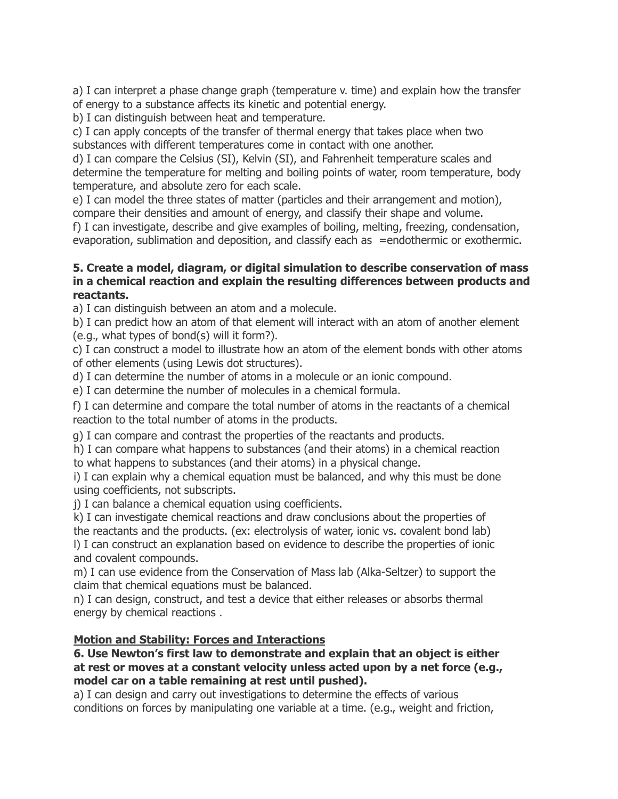a) I can interpret a phase change graph (temperature v. time) and explain how the transfer of energy to a substance affects its kinetic and potential energy.

b) I can distinguish between heat and temperature.

c) I can apply concepts of the transfer of thermal energy that takes place when two substances with different temperatures come in contact with one another.

d) I can compare the Celsius (SI), Kelvin (SI), and Fahrenheit temperature scales and determine the temperature for melting and boiling points of water, room temperature, body temperature, and absolute zero for each scale.

e) I can model the three states of matter (particles and their arrangement and motion), compare their densities and amount of energy, and classify their shape and volume.

f) I can investigate, describe and give examples of boiling, melting, freezing, condensation, evaporation, sublimation and deposition, and classify each as =endothermic or exothermic.

### **5. Create a model, diagram, or digital simulation to describe conservation of mass in a chemical reaction and explain the resulting differences between products and reactants.**

a) I can distinguish between an atom and a molecule.

b) I can predict how an atom of that element will interact with an atom of another element (e.g., what types of bond(s) will it form?).

c) I can construct a model to illustrate how an atom of the element bonds with other atoms of other elements (using Lewis dot structures).

d) I can determine the number of atoms in a molecule or an ionic compound.

e) I can determine the number of molecules in a chemical formula.

f) I can determine and compare the total number of atoms in the reactants of a chemical reaction to the total number of atoms in the products.

g) I can compare and contrast the properties of the reactants and products.

h) I can compare what happens to substances (and their atoms) in a chemical reaction to what happens to substances (and their atoms) in a physical change.

i) I can explain why a chemical equation must be balanced, and why this must be done using coefficients, not subscripts.

j) I can balance a chemical equation using coefficients.

k) I can investigate chemical reactions and draw conclusions about the properties of

the reactants and the products. (ex: electrolysis of water, ionic vs. covalent bond lab) l) I can construct an explanation based on evidence to describe the properties of ionic and covalent compounds.

m) I can use evidence from the Conservation of Mass lab (Alka-Seltzer) to support the claim that chemical equations must be balanced.

n) I can design, construct, and test a device that either releases or absorbs thermal energy by chemical reactions .

## **Motion and Stability: Forces and Interactions**

### **6. Use Newton's first law to demonstrate and explain that an object is either at rest or moves at a constant velocity unless acted upon by a net force (e.g., model car on a table remaining at rest until pushed).**

a) I can design and carry out investigations to determine the effects of various conditions on forces by manipulating one variable at a time. (e.g., weight and friction,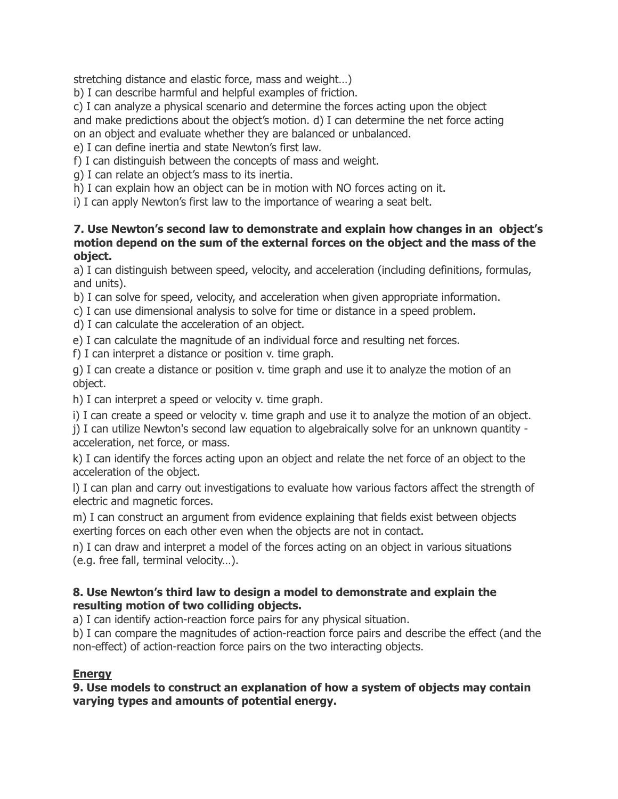stretching distance and elastic force, mass and weight…)

b) I can describe harmful and helpful examples of friction.

c) I can analyze a physical scenario and determine the forces acting upon the object and make predictions about the object's motion. d) I can determine the net force acting on an object and evaluate whether they are balanced or unbalanced.

e) I can define inertia and state Newton's first law.

f) I can distinguish between the concepts of mass and weight.

g) I can relate an object's mass to its inertia.

h) I can explain how an object can be in motion with NO forces acting on it.

i) I can apply Newton's first law to the importance of wearing a seat belt.

#### **7. Use Newton's second law to demonstrate and explain how changes in an object's motion depend on the sum of the external forces on the object and the mass of the object.**

a) I can distinguish between speed, velocity, and acceleration (including definitions, formulas, and units).

b) I can solve for speed, velocity, and acceleration when given appropriate information.

c) I can use dimensional analysis to solve for time or distance in a speed problem.

d) I can calculate the acceleration of an object.

e) I can calculate the magnitude of an individual force and resulting net forces.

f) I can interpret a distance or position v. time graph.

g) I can create a distance or position v. time graph and use it to analyze the motion of an object.

h) I can interpret a speed or velocity v. time graph.

i) I can create a speed or velocity v. time graph and use it to analyze the motion of an object.

j) I can utilize Newton's second law equation to algebraically solve for an unknown quantity acceleration, net force, or mass.

k) I can identify the forces acting upon an object and relate the net force of an object to the acceleration of the object.

l) I can plan and carry out investigations to evaluate how various factors affect the strength of electric and magnetic forces.

m) I can construct an argument from evidence explaining that fields exist between objects exerting forces on each other even when the objects are not in contact.

n) I can draw and interpret a model of the forces acting on an object in various situations (e.g. free fall, terminal velocity…).

### **8. Use Newton's third law to design a model to demonstrate and explain the resulting motion of two colliding objects.**

a) I can identify action-reaction force pairs for any physical situation.

b) I can compare the magnitudes of action-reaction force pairs and describe the effect (and the non-effect) of action-reaction force pairs on the two interacting objects.

### **Energy**

**9. Use models to construct an explanation of how a system of objects may contain varying types and amounts of potential energy.**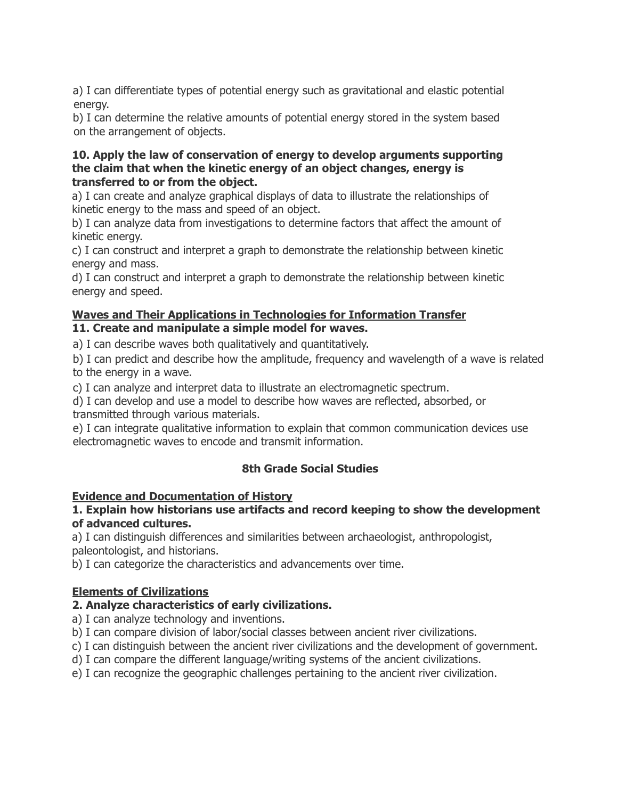a) I can differentiate types of potential energy such as gravitational and elastic potential energy.

b) I can determine the relative amounts of potential energy stored in the system based on the arrangement of objects.

#### **10. Apply the law of conservation of energy to develop arguments supporting the claim that when the kinetic energy of an object changes, energy is transferred to or from the object.**

a) I can create and analyze graphical displays of data to illustrate the relationships of kinetic energy to the mass and speed of an object.

b) I can analyze data from investigations to determine factors that affect the amount of kinetic energy.

c) I can construct and interpret a graph to demonstrate the relationship between kinetic energy and mass.

d) I can construct and interpret a graph to demonstrate the relationship between kinetic energy and speed.

### **Waves and Their Applications in Technologies for Information Transfer 11. Create and manipulate a simple model for waves.**

a) I can describe waves both qualitatively and quantitatively.

b) I can predict and describe how the amplitude, frequency and wavelength of a wave is related to the energy in a wave.

c) I can analyze and interpret data to illustrate an electromagnetic spectrum.

d) I can develop and use a model to describe how waves are reflected, absorbed, or transmitted through various materials.

e) I can integrate qualitative information to explain that common communication devices use electromagnetic waves to encode and transmit information.

# **8th Grade Social Studies**

## <span id="page-19-0"></span>**Evidence and Documentation of History**

#### **1. Explain how historians use artifacts and record keeping to show the development of advanced cultures.**

a) I can distinguish differences and similarities between archaeologist, anthropologist, paleontologist, and historians.

b) I can categorize the characteristics and advancements over time.

## **Elements of Civilizations**

## **2. Analyze characteristics of early civilizations.**

a) I can analyze technology and inventions.

- b) I can compare division of labor/social classes between ancient river civilizations.
- c) I can distinguish between the ancient river civilizations and the development of government.
- d) I can compare the different language/writing systems of the ancient civilizations.
- e) I can recognize the geographic challenges pertaining to the ancient river civilization.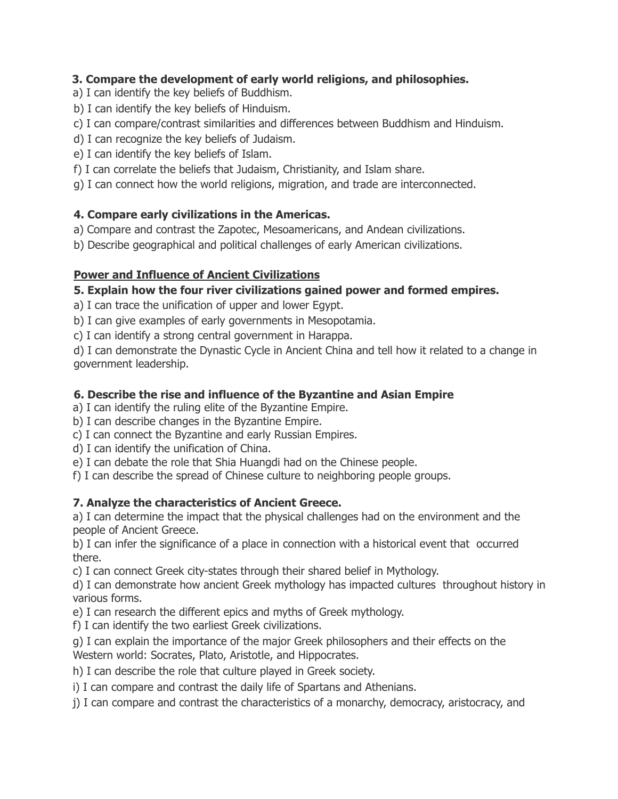## **3. Compare the development of early world religions, and philosophies.**

- a) I can identify the key beliefs of Buddhism.
- b) I can identify the key beliefs of Hinduism.
- c) I can compare/contrast similarities and differences between Buddhism and Hinduism.
- d) I can recognize the key beliefs of Judaism.
- e) I can identify the key beliefs of Islam.
- f) I can correlate the beliefs that Judaism, Christianity, and Islam share.

g) I can connect how the world religions, migration, and trade are interconnected.

### **4. Compare early civilizations in the Americas.**

a) Compare and contrast the Zapotec, Mesoamericans, and Andean civilizations.

b) Describe geographical and political challenges of early American civilizations.

### **Power and Influence of Ancient Civilizations**

### **5. Explain how the four river civilizations gained power and formed empires.**

a) I can trace the unification of upper and lower Egypt.

b) I can give examples of early governments in Mesopotamia.

c) I can identify a strong central government in Harappa.

d) I can demonstrate the Dynastic Cycle in Ancient China and tell how it related to a change in government leadership.

### **6. Describe the rise and influence of the Byzantine and Asian Empire**

a) I can identify the ruling elite of the Byzantine Empire.

- b) I can describe changes in the Byzantine Empire.
- c) I can connect the Byzantine and early Russian Empires.
- d) I can identify the unification of China.
- e) I can debate the role that Shia Huangdi had on the Chinese people.
- f) I can describe the spread of Chinese culture to neighboring people groups.

## **7. Analyze the characteristics of Ancient Greece.**

a) I can determine the impact that the physical challenges had on the environment and the people of Ancient Greece.

b) I can infer the significance of a place in connection with a historical event that occurred there.

c) I can connect Greek city-states through their shared belief in Mythology.

d) I can demonstrate how ancient Greek mythology has impacted cultures throughout history in various forms.

e) I can research the different epics and myths of Greek mythology.

f) I can identify the two earliest Greek civilizations.

g) I can explain the importance of the major Greek philosophers and their effects on the Western world: Socrates, Plato, Aristotle, and Hippocrates.

- h) I can describe the role that culture played in Greek society.
- i) I can compare and contrast the daily life of Spartans and Athenians.

j) I can compare and contrast the characteristics of a monarchy, democracy, aristocracy, and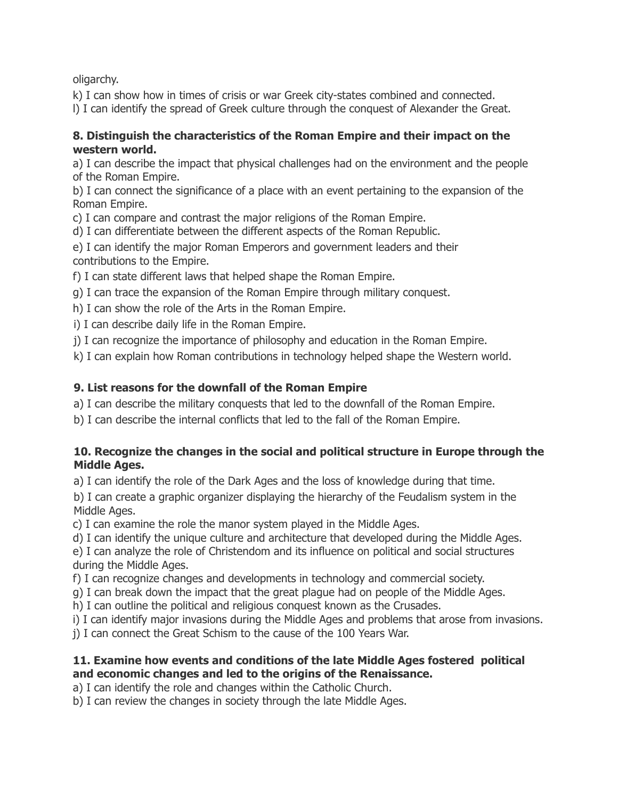oligarchy.

k) I can show how in times of crisis or war Greek city-states combined and connected.

l) I can identify the spread of Greek culture through the conquest of Alexander the Great.

### **8. Distinguish the characteristics of the Roman Empire and their impact on the western world.**

a) I can describe the impact that physical challenges had on the environment and the people of the Roman Empire.

b) I can connect the significance of a place with an event pertaining to the expansion of the Roman Empire.

c) I can compare and contrast the major religions of the Roman Empire.

d) I can differentiate between the different aspects of the Roman Republic.

e) I can identify the major Roman Emperors and government leaders and their contributions to the Empire.

f) I can state different laws that helped shape the Roman Empire.

g) I can trace the expansion of the Roman Empire through military conquest.

h) I can show the role of the Arts in the Roman Empire.

i) I can describe daily life in the Roman Empire.

j) I can recognize the importance of philosophy and education in the Roman Empire.

k) I can explain how Roman contributions in technology helped shape the Western world.

# **9. List reasons for the downfall of the Roman Empire**

a) I can describe the military conquests that led to the downfall of the Roman Empire.

b) I can describe the internal conflicts that led to the fall of the Roman Empire.

## **10. Recognize the changes in the social and political structure in Europe through the Middle Ages.**

a) I can identify the role of the Dark Ages and the loss of knowledge during that time.

b) I can create a graphic organizer displaying the hierarchy of the Feudalism system in the Middle Ages.

c) I can examine the role the manor system played in the Middle Ages.

d) I can identify the unique culture and architecture that developed during the Middle Ages.

e) I can analyze the role of Christendom and its influence on political and social structures during the Middle Ages.

f) I can recognize changes and developments in technology and commercial society.

g) I can break down the impact that the great plague had on people of the Middle Ages.

h) I can outline the political and religious conquest known as the Crusades.

i) I can identify major invasions during the Middle Ages and problems that arose from invasions.

j) I can connect the Great Schism to the cause of the 100 Years War.

## **11. Examine how events and conditions of the late Middle Ages fostered political and economic changes and led to the origins of the Renaissance.**

a) I can identify the role and changes within the Catholic Church.

b) I can review the changes in society through the late Middle Ages.